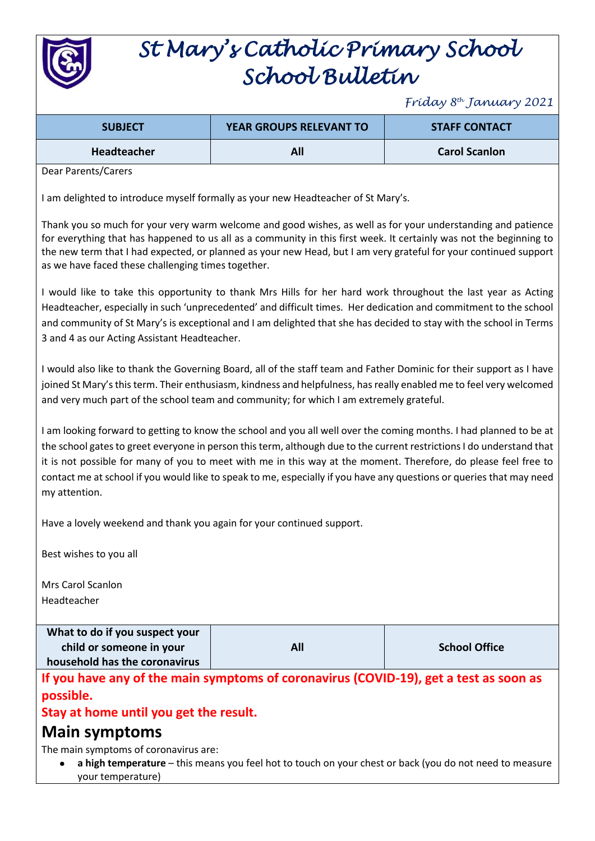

# *St Mary's Catholic Primary School School Bulletin*

*Friday 8th January 2021*

| <b>SUBJECT</b>     | <b>YEAR GROUPS RELEVANT TO</b> | <b>STAFF CONTACT</b> |
|--------------------|--------------------------------|----------------------|
| <b>Headteacher</b> | All                            | <b>Carol Scanlon</b> |

Dear Parents/Carers

I am delighted to introduce myself formally as your new Headteacher of St Mary's.

Thank you so much for your very warm welcome and good wishes, as well as for your understanding and patience for everything that has happened to us all as a community in this first week. It certainly was not the beginning to the new term that I had expected, or planned as your new Head, but I am very grateful for your continued support as we have faced these challenging times together.

I would like to take this opportunity to thank Mrs Hills for her hard work throughout the last year as Acting Headteacher, especially in such 'unprecedented' and difficult times. Her dedication and commitment to the school and community of St Mary's is exceptional and I am delighted that she has decided to stay with the school in Terms 3 and 4 as our Acting Assistant Headteacher.

I would also like to thank the Governing Board, all of the staff team and Father Dominic for their support as I have joined St Mary's this term. Their enthusiasm, kindness and helpfulness, has really enabled me to feel very welcomed and very much part of the school team and community; for which I am extremely grateful.

I am looking forward to getting to know the school and you all well over the coming months. I had planned to be at the school gates to greet everyone in person this term, although due to the current restrictions I do understand that it is not possible for many of you to meet with me in this way at the moment. Therefore, do please feel free to contact me at school if you would like to speak to me, especially if you have any questions or queries that may need my attention.

Have a lovely weekend and thank you again for your continued support.

Best wishes to you all

Mrs Carol Scanlon Headteacher

**What to do if you suspect your child or someone in your household has the coronavirus**

**All School Office**

**If you have any of the main symptoms of coronavirus (COVID-19), get a test as soon as possible.** 

## **Stay at home until you get the result.**

# **Main symptoms**

The main symptoms of coronavirus are:

 **a high temperature** – this means you feel hot to touch on your chest or back (you do not need to measure your temperature)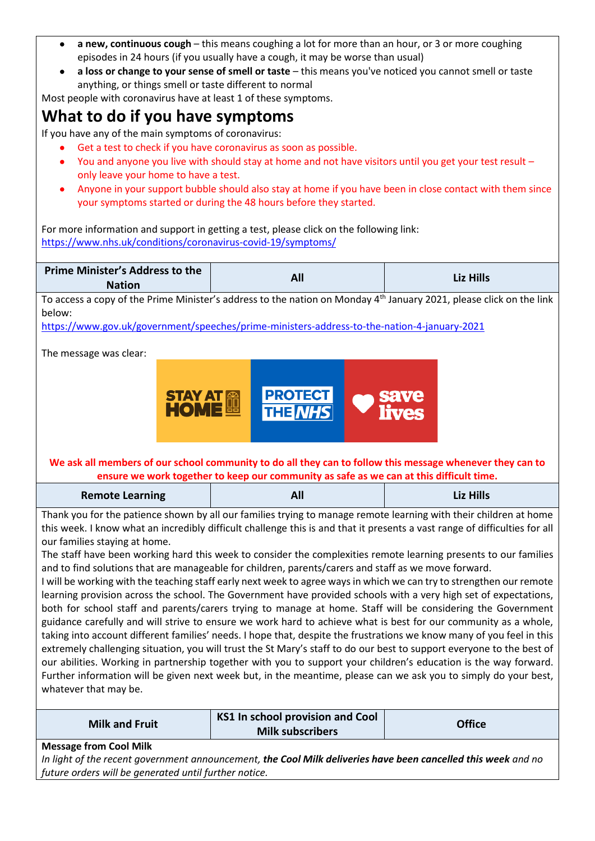- **a new, continuous cough** this means coughing a lot for more than an hour, or 3 or more coughing episodes in 24 hours (if you usually have a cough, it may be worse than usual)
- **a loss or change to your sense of smell or taste** this means you've noticed you cannot smell or taste anything, or things smell or taste different to normal

Most people with coronavirus have at least 1 of these symptoms.

# **What to do if you have symptoms**

If you have any of the main symptoms of coronavirus:

- Get a test to check if you have coronavirus as soon as possible.
- You and anyone you live with should stay at home and not have visitors until you get your test result only leave your home to have a test.
- Anyone in your support bubble should also stay at home if you have been in close contact with them since your symptoms started or during the 48 hours before they started.

For more information and support in getting a test, please click on the following link: <https://www.nhs.uk/conditions/coronavirus-covid-19/symptoms/>

| <b>Prime Minister's Address to the</b><br><b>Nation</b>                                                                                                                                                                                                                                                                                                                                                                                                                                                                                                                                                                                                                                                                                                                                                                                                                                                                                                                                                                                                                                                                                                                                                                                                                                                                                                                                                                                                                                                                                                 | All                     | <b>Liz Hills</b> |  |  |
|---------------------------------------------------------------------------------------------------------------------------------------------------------------------------------------------------------------------------------------------------------------------------------------------------------------------------------------------------------------------------------------------------------------------------------------------------------------------------------------------------------------------------------------------------------------------------------------------------------------------------------------------------------------------------------------------------------------------------------------------------------------------------------------------------------------------------------------------------------------------------------------------------------------------------------------------------------------------------------------------------------------------------------------------------------------------------------------------------------------------------------------------------------------------------------------------------------------------------------------------------------------------------------------------------------------------------------------------------------------------------------------------------------------------------------------------------------------------------------------------------------------------------------------------------------|-------------------------|------------------|--|--|
| To access a copy of the Prime Minister's address to the nation on Monday 4 <sup>th</sup> January 2021, please click on the link<br>below:                                                                                                                                                                                                                                                                                                                                                                                                                                                                                                                                                                                                                                                                                                                                                                                                                                                                                                                                                                                                                                                                                                                                                                                                                                                                                                                                                                                                               |                         |                  |  |  |
| https://www.gov.uk/government/speeches/prime-ministers-address-to-the-nation-4-january-2021<br>The message was clear:<br><b>PROTECT</b><br><b>STAY AT EL</b><br><b>HOME</b><br>save<br>lives<br><b>THE NHS</b>                                                                                                                                                                                                                                                                                                                                                                                                                                                                                                                                                                                                                                                                                                                                                                                                                                                                                                                                                                                                                                                                                                                                                                                                                                                                                                                                          |                         |                  |  |  |
| We ask all members of our school community to do all they can to follow this message whenever they can to<br>ensure we work together to keep our community as safe as we can at this difficult time.                                                                                                                                                                                                                                                                                                                                                                                                                                                                                                                                                                                                                                                                                                                                                                                                                                                                                                                                                                                                                                                                                                                                                                                                                                                                                                                                                    |                         |                  |  |  |
| <b>Remote Learning</b>                                                                                                                                                                                                                                                                                                                                                                                                                                                                                                                                                                                                                                                                                                                                                                                                                                                                                                                                                                                                                                                                                                                                                                                                                                                                                                                                                                                                                                                                                                                                  | All                     | <b>Liz Hills</b> |  |  |
| Thank you for the patience shown by all our families trying to manage remote learning with their children at home<br>this week. I know what an incredibly difficult challenge this is and that it presents a vast range of difficulties for all<br>our families staying at home.<br>The staff have been working hard this week to consider the complexities remote learning presents to our families<br>and to find solutions that are manageable for children, parents/carers and staff as we move forward.<br>I will be working with the teaching staff early next week to agree ways in which we can try to strengthen our remote<br>learning provision across the school. The Government have provided schools with a very high set of expectations,<br>both for school staff and parents/carers trying to manage at home. Staff will be considering the Government<br>guidance carefully and will strive to ensure we work hard to achieve what is best for our community as a whole,<br>taking into account different families' needs. I hope that, despite the frustrations we know many of you feel in this<br>extremely challenging situation, you will trust the St Mary's staff to do our best to support everyone to the best of<br>our abilities. Working in partnership together with you to support your children's education is the way forward.<br>Further information will be given next week but, in the meantime, please can we ask you to simply do your best,<br>whatever that may be.<br><b>KS1 In school provision and Cool</b> |                         |                  |  |  |
| <b>Milk and Fruit</b>                                                                                                                                                                                                                                                                                                                                                                                                                                                                                                                                                                                                                                                                                                                                                                                                                                                                                                                                                                                                                                                                                                                                                                                                                                                                                                                                                                                                                                                                                                                                   | <b>Milk subscribers</b> | <b>Office</b>    |  |  |
| <b>Message from Cool Milk</b>                                                                                                                                                                                                                                                                                                                                                                                                                                                                                                                                                                                                                                                                                                                                                                                                                                                                                                                                                                                                                                                                                                                                                                                                                                                                                                                                                                                                                                                                                                                           |                         |                  |  |  |

*In light of the recent government announcement, the Cool Milk deliveries have been cancelled this week and no future orders will be generated until further notice.*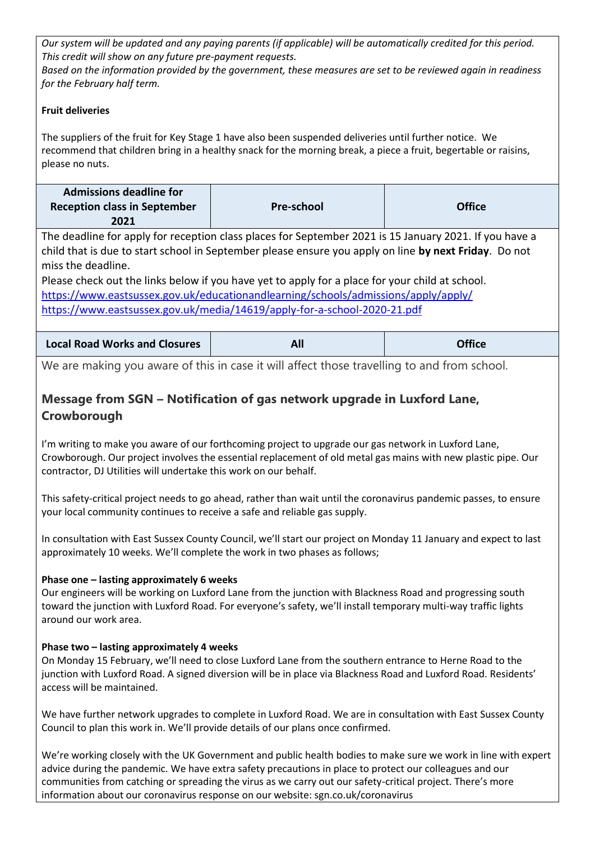*Our system will be updated and any paying parents (if applicable) will be automatically credited for this period. This credit will show on any future pre-payment requests.*

*Based on the information provided by the government, these measures are set to be reviewed again in readiness for the February half term.*

#### **Fruit deliveries**

The suppliers of the fruit for Key Stage 1 have also been suspended deliveries until further notice. We recommend that children bring in a healthy snack for the morning break, a piece a fruit, begertable or raisins, please no nuts.

| <b>Admissions deadline for</b>      |            |               |
|-------------------------------------|------------|---------------|
| <b>Reception class in September</b> | Pre-school | <b>Office</b> |
| 2021                                |            |               |

The deadline for apply for reception class places for September 2021 is 15 January 2021. If you have a child that is due to start school in September please ensure you apply on line **by next Friday**. Do not miss the deadline.

Please check out the links below if you have yet to apply for a place for your child at school. <https://www.eastsussex.gov.uk/educationandlearning/schools/admissions/apply/apply/> <https://www.eastsussex.gov.uk/media/14619/apply-for-a-school-2020-21.pdf>

| <b>Office</b><br><b>Local Road Works and Closures</b><br><b>ALL</b> |  |  |  |
|---------------------------------------------------------------------|--|--|--|
|---------------------------------------------------------------------|--|--|--|

We are making you aware of this in case it will affect those travelling to and from school.

## **Message from SGN – Notification of gas network upgrade in Luxford Lane, Crowborough**

I'm writing to make you aware of our forthcoming project to upgrade our gas network in Luxford Lane, Crowborough. Our project involves the essential replacement of old metal gas mains with new plastic pipe. Our contractor, DJ Utilities will undertake this work on our behalf.

This safety-critical project needs to go ahead, rather than wait until the coronavirus pandemic passes, to ensure your local community continues to receive a safe and reliable gas supply.

In consultation with East Sussex County Council, we'll start our project on Monday 11 January and expect to last approximately 10 weeks. We'll complete the work in two phases as follows;

#### **Phase one – lasting approximately 6 weeks**

Our engineers will be working on Luxford Lane from the junction with Blackness Road and progressing south toward the junction with Luxford Road. For everyone's safety, we'll install temporary multi-way traffic lights around our work area.

#### **Phase two – lasting approximately 4 weeks**

On Monday 15 February, we'll need to close Luxford Lane from the southern entrance to Herne Road to the junction with Luxford Road. A signed diversion will be in place via Blackness Road and Luxford Road. Residents' access will be maintained.

We have further network upgrades to complete in Luxford Road. We are in consultation with East Sussex County Council to plan this work in. We'll provide details of our plans once confirmed.

We're working closely with the UK Government and public health bodies to make sure we work in line with expert advice during the pandemic. We have extra safety precautions in place to protect our colleagues and our communities from catching or spreading the virus as we carry out our safety-critical project. There's more information about our coronavirus response on our website: sgn.co.uk/coronavirus